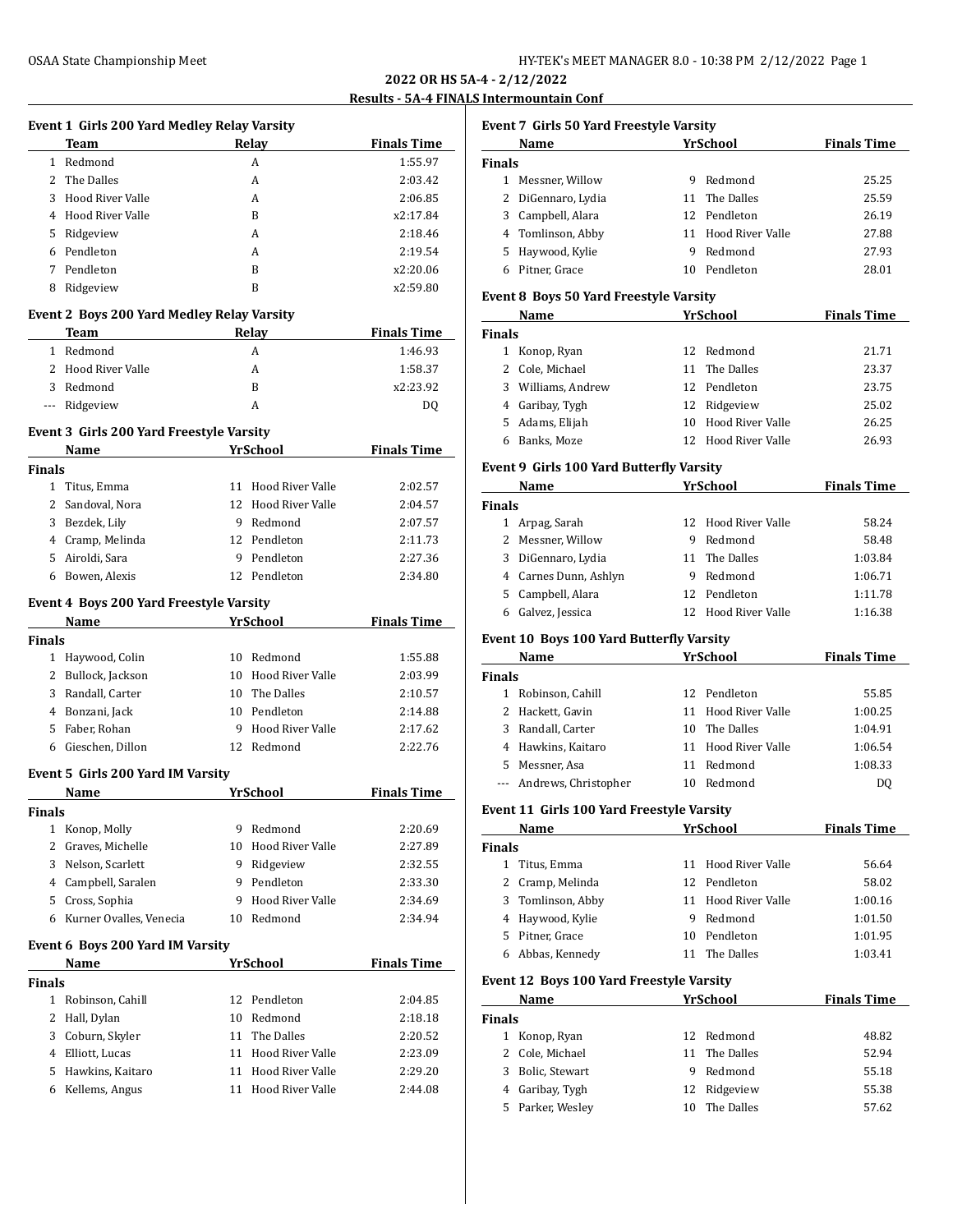# **2022 OR HS 5A-4 - 2/12/2022**

## **ALS Intermountain Conf**

|               |                                                 |    |                         | Results - 5A-4 FINA |
|---------------|-------------------------------------------------|----|-------------------------|---------------------|
|               | Event 1 Girls 200 Yard Medley Relay Varsity     |    |                         |                     |
|               | Team                                            |    | Relay                   | <b>Finals Time</b>  |
|               | 1 Redmond                                       |    | A                       | 1:55.97             |
|               | 2 The Dalles                                    |    | A                       | 2:03.42             |
|               | 3 Hood River Valle                              |    | A                       | 2:06.85             |
|               | 4 Hood River Valle                              |    | B                       | x2:17.84            |
|               | 5 Ridgeview                                     |    | A                       | 2:18.46             |
|               | 6 Pendleton                                     |    | A                       | 2:19.54             |
|               | 7 Pendleton                                     |    | B                       | x2:20.06            |
|               | 8 Ridgeview                                     |    | B                       | x2:59.80            |
|               | Event 2 Boys 200 Yard Medley Relay Varsity      |    |                         |                     |
|               | Team                                            |    | Relay                   | <b>Finals Time</b>  |
|               | 1 Redmond                                       |    | A                       | 1:46.93             |
|               | 2 Hood River Valle                              |    | A                       | 1:58.37             |
|               | 3 Redmond                                       |    | B                       | x2:23.92            |
|               | --- Ridgeview                                   |    | A                       | DQ                  |
|               | <b>Event 3 Girls 200 Yard Freestyle Varsity</b> |    |                         |                     |
|               | Name                                            |    | <b>YrSchool</b>         | <b>Finals Time</b>  |
| <b>Finals</b> |                                                 |    |                         |                     |
|               | 1 Titus, Emma                                   |    | 11 Hood River Valle     | 2:02.57             |
|               | 2 Sandoval, Nora                                |    | 12 Hood River Valle     | 2:04.57             |
|               | 3 Bezdek, Lily                                  |    | 9 Redmond               | 2:07.57             |
|               | 4 Cramp, Melinda                                |    | 12 Pendleton            | 2:11.73             |
|               | 5 Airoldi, Sara                                 |    | 9 Pendleton             | 2:27.36             |
|               | 6 Bowen, Alexis                                 |    | 12 Pendleton            | 2:34.80             |
|               | Event 4 Boys 200 Yard Freestyle Varsity         |    |                         |                     |
| <b>Finals</b> | Name                                            |    | YrSchool                | <b>Finals Time</b>  |
|               | 1 Haywood, Colin                                |    | 10 Redmond              | 1:55.88             |
|               | 2 Bullock, Jackson                              |    | 10 Hood River Valle     | 2:03.99             |
|               | 3 Randall, Carter                               |    | 10 The Dalles           | 2:10.57             |
|               | 4 Bonzani, Jack                                 |    | 10 Pendleton            | 2:14.88             |
|               | 5 Faber. Rohan                                  |    | 9 Hood River Valle      | 2:17.62             |
|               | 6 Gieschen. Dillon                              |    | 12 Redmond              | 2:22.76             |
|               | Event 5 Girls 200 Yard IM Varsity               |    |                         |                     |
|               | Name                                            |    | <b>YrSchool</b>         | <b>Finals Time</b>  |
| Finals        |                                                 |    |                         |                     |
| $\mathbf{1}$  | Konop, Molly                                    | 9  | Redmond                 | 2:20.69             |
| 2             | Graves, Michelle                                |    | 10 Hood River Valle     | 2:27.89             |
|               | 3 Nelson, Scarlett                              |    | 9 Ridgeview             | 2:32.55             |
|               | 4 Campbell, Saralen                             |    | 9 Pendleton             | 2:33.30             |
|               | 5 Cross, Sophia                                 | 9  | <b>Hood River Valle</b> | 2:34.69             |
|               | 6 Kurner Ovalles, Venecia                       |    | 10 Redmond              | 2:34.94             |
|               | Event 6 Boys 200 Yard IM Varsity                |    |                         |                     |
|               | Name                                            |    | <b>YrSchool</b>         | <b>Finals Time</b>  |
| <b>Finals</b> |                                                 |    |                         |                     |
|               | 1 Robinson, Cahill                              | 12 | Pendleton               | 2:04.85             |
| 2             | Hall, Dylan                                     | 10 | Redmond                 | 2:18.18             |
| 3             | Coburn, Skyler                                  | 11 | The Dalles              | 2:20.52             |
|               | 4 Elliott, Lucas                                |    | 11 Hood River Valle     | 2:23.09             |
|               | 5 Hawkins, Kaitaro                              | 11 | <b>Hood River Valle</b> | 2:29.20             |
|               | 6 Kellems, Angus                                | 11 | Hood River Valle        | 2:44.08             |
|               |                                                 |    |                         |                     |

| Event 7 Girls 50 Yard Freestyle Varsity |                                                 |    |                     |                    |  |  |
|-----------------------------------------|-------------------------------------------------|----|---------------------|--------------------|--|--|
|                                         | <b>Name</b>                                     |    | YrSchool            | <b>Finals Time</b> |  |  |
| Finals                                  |                                                 |    |                     |                    |  |  |
|                                         | 1 Messner, Willow                               |    | 9 Redmond           | 25.25              |  |  |
|                                         | 2 DiGennaro, Lydia                              |    | 11 The Dalles       | 25.59              |  |  |
|                                         | 3 Campbell, Alara                               |    | 12 Pendleton        | 26.19              |  |  |
|                                         | 4 Tomlinson, Abby                               |    | 11 Hood River Valle | 27.88              |  |  |
|                                         | 5 Haywood, Kylie                                |    | 9 Redmond           | 27.93              |  |  |
|                                         | 6 Pitner, Grace                                 |    | 10 Pendleton        | 28.01              |  |  |
|                                         | <b>Event 8 Boys 50 Yard Freestyle Varsity</b>   |    |                     |                    |  |  |
|                                         | <b>Example 25 YrSchool</b>                      |    |                     | <b>Finals Time</b> |  |  |
| <b>Finals</b>                           | Name                                            |    |                     |                    |  |  |
|                                         | 1 Konop, Ryan                                   |    | 12 Redmond          | 21.71              |  |  |
|                                         | 2 Cole, Michael                                 | 11 | The Dalles          | 23.37              |  |  |
|                                         | 3 Williams, Andrew                              |    | 12 Pendleton        | 23.75              |  |  |
|                                         | 4 Garibay, Tygh                                 |    | 12 Ridgeview        | 25.02              |  |  |
|                                         | 5 Adams, Elijah                                 |    | 10 Hood River Valle | 26.25              |  |  |
|                                         | 6 Banks, Moze                                   |    | 12 Hood River Valle | 26.93              |  |  |
|                                         |                                                 |    |                     |                    |  |  |
|                                         | <b>Event 9 Girls 100 Yard Butterfly Varsity</b> |    |                     |                    |  |  |
|                                         | Name                                            |    | <b>YrSchool</b>     | <b>Finals Time</b> |  |  |
| <b>Finals</b>                           |                                                 |    |                     |                    |  |  |
|                                         | 1 Arpag, Sarah                                  |    | 12 Hood River Valle | 58.24              |  |  |
|                                         | 2 Messner, Willow                               |    | 9 Redmond           | 58.48              |  |  |
|                                         | 3 DiGennaro, Lydia                              |    | 11 The Dalles       | 1:03.84            |  |  |
|                                         | 4 Carnes Dunn, Ashlyn                           |    | 9 Redmond           | 1:06.71            |  |  |
|                                         | 5 Campbell, Alara                               |    | 12 Pendleton        | 1:11.78            |  |  |
|                                         | 6 Galvez, Jessica                               |    | 12 Hood River Valle | 1:16.38            |  |  |
|                                         | Event 10 Boys 100 Yard Butterfly Varsity        |    |                     |                    |  |  |
|                                         | <b>Name</b>                                     |    | YrSchool            | <b>Finals Time</b> |  |  |
| Finals                                  |                                                 |    |                     |                    |  |  |
|                                         | 1 Robinson, Cahill                              |    | 12 Pendleton        | 55.85              |  |  |
|                                         | 2 Hackett, Gavin                                |    | 11 Hood River Valle | 1:00.25            |  |  |
|                                         | 3 Randall, Carter                               |    | 10 The Dalles       | 1:04.91            |  |  |
|                                         | 4 Hawkins, Kaitaro                              |    | 11 Hood River Valle | 1:06.54            |  |  |
|                                         | 5 Messner, Asa                                  |    | 11 Redmond          | 1:08.33            |  |  |
|                                         | --- Andrews, Christopher                        |    | 10 Redmond          | DQ                 |  |  |
|                                         | Event 11 Girls 100 Yard Freestyle Varsity       |    |                     |                    |  |  |
|                                         | Name                                            |    | <b>YrSchool</b>     | <b>Finals Time</b> |  |  |
| <b>Finals</b>                           |                                                 |    |                     |                    |  |  |
| $\mathbf{1}$                            | Titus, Emma                                     | 11 | Hood River Valle    | 56.64              |  |  |
| 2                                       | Cramp, Melinda                                  | 12 | Pendleton           | 58.02              |  |  |
|                                         | 3 Tomlinson, Abby                               |    | 11 Hood River Valle | 1:00.16            |  |  |
|                                         | 4 Haywood, Kylie                                |    | 9 Redmond           | 1:01.50            |  |  |
|                                         | 5 Pitner, Grace                                 |    | 10 Pendleton        | 1:01.95            |  |  |
| 6                                       | Abbas, Kennedy                                  |    | 11 The Dalles       | 1:03.41            |  |  |
|                                         |                                                 |    |                     |                    |  |  |
|                                         | Event 12 Boys 100 Yard Freestyle Varsity        |    |                     |                    |  |  |
|                                         | Name                                            |    | <b>YrSchool</b>     | <b>Finals Time</b> |  |  |
| Finals                                  |                                                 |    |                     |                    |  |  |
|                                         | 1 Konop, Ryan                                   | 12 | Redmond             | 48.82              |  |  |
| 2                                       | Cole, Michael                                   | 11 | The Dalles          | 52.94              |  |  |
| 3                                       | Bolic, Stewart                                  | 9  | Redmond             | 55.18              |  |  |
|                                         | 4 Garibay, Tygh                                 | 12 | Ridgeview           | 55.38              |  |  |
| 5                                       | Parker, Wesley                                  | 10 | The Dalles          | 57.62              |  |  |
|                                         |                                                 |    |                     |                    |  |  |